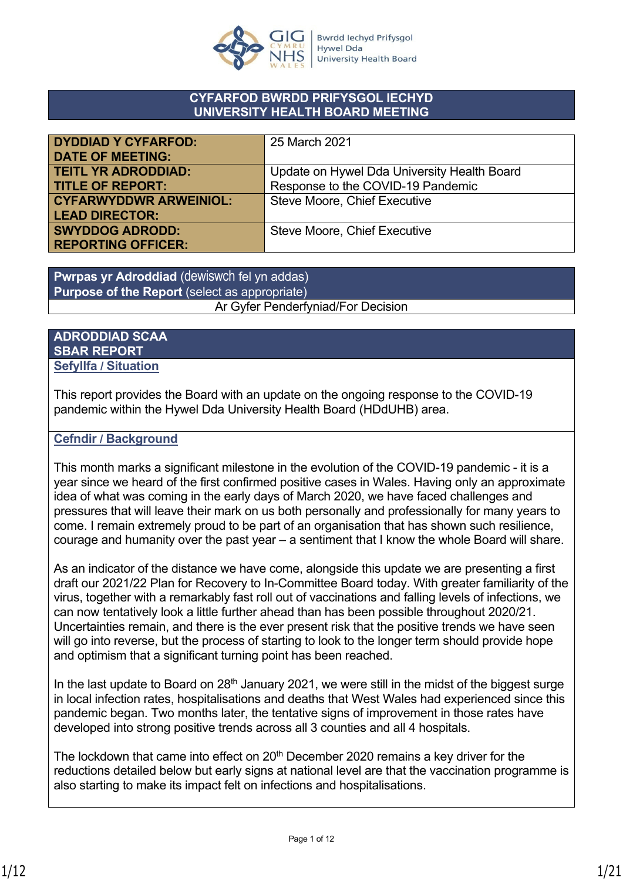

### **CYFARFOD BWRDD PRIFYSGOL IECHYD UNIVERSITY HEALTH BOARD MEETING**

| <b>DYDDIAD Y CYFARFOD:</b>    | 25 March 2021                               |
|-------------------------------|---------------------------------------------|
| <b>DATE OF MEETING:</b>       |                                             |
|                               |                                             |
| <b>TEITL YR ADRODDIAD:</b>    | Update on Hywel Dda University Health Board |
| <b>TITLE OF REPORT:</b>       | Response to the COVID-19 Pandemic           |
| <b>CYFARWYDDWR ARWEINIOL:</b> | Steve Moore, Chief Executive                |
| <b>LEAD DIRECTOR:</b>         |                                             |
| <b>SWYDDOG ADRODD:</b>        | Steve Moore, Chief Executive                |
| <b>REPORTING OFFICER:</b>     |                                             |

**Pwrpas yr Adroddiad** (dewiswch fel yn addas) **Purpose of the Report** (select as appropriate) Ar Gyfer Penderfyniad/For Decision

### **ADRODDIAD SCAA SBAR REPORT Sefyllfa / Situation**

This report provides the Board with an update on the ongoing response to the COVID-19 pandemic within the Hywel Dda University Health Board (HDdUHB) area.

### **Cefndir / Background**

This month marks a significant milestone in the evolution of the COVID-19 pandemic - it is a year since we heard of the first confirmed positive cases in Wales. Having only an approximate idea of what was coming in the early days of March 2020, we have faced challenges and pressures that will leave their mark on us both personally and professionally for many years to come. I remain extremely proud to be part of an organisation that has shown such resilience, courage and humanity over the past year – a sentiment that I know the whole Board will share.

As an indicator of the distance we have come, alongside this update we are presenting a first draft our 2021/22 Plan for Recovery to In-Committee Board today. With greater familiarity of the virus, together with a remarkably fast roll out of vaccinations and falling levels of infections, we can now tentatively look a little further ahead than has been possible throughout 2020/21. Uncertainties remain, and there is the ever present risk that the positive trends we have seen will go into reverse, but the process of starting to look to the longer term should provide hope and optimism that a significant turning point has been reached.

In the last update to Board on  $28<sup>th</sup>$  January 2021, we were still in the midst of the biggest surge in local infection rates, hospitalisations and deaths that West Wales had experienced since this pandemic began. Two months later, the tentative signs of improvement in those rates have developed into strong positive trends across all 3 counties and all 4 hospitals.

The lockdown that came into effect on  $20<sup>th</sup>$  December 2020 remains a key driver for the reductions detailed below but early signs at national level are that the vaccination programme is also starting to make its impact felt on infections and hospitalisations.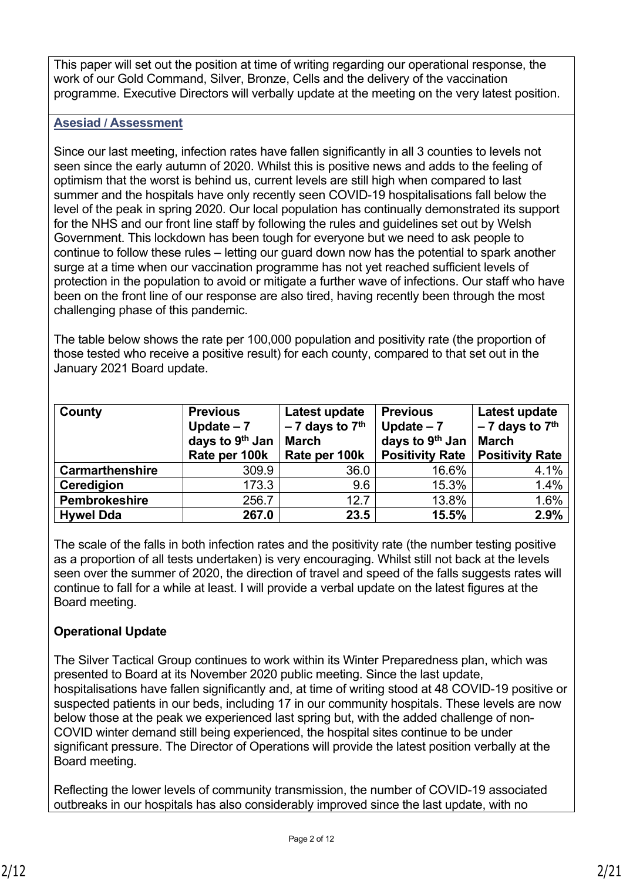This paper will set out the position at time of writing regarding our operational response, the work of our Gold Command, Silver, Bronze, Cells and the delivery of the vaccination programme. Executive Directors will verbally update at the meeting on the very latest position.

### **Asesiad / Assessment**

Since our last meeting, infection rates have fallen significantly in all 3 counties to levels not seen since the early autumn of 2020. Whilst this is positive news and adds to the feeling of optimism that the worst is behind us, current levels are still high when compared to last summer and the hospitals have only recently seen COVID-19 hospitalisations fall below the level of the peak in spring 2020. Our local population has continually demonstrated its support for the NHS and our front line staff by following the rules and guidelines set out by Welsh Government. This lockdown has been tough for everyone but we need to ask people to continue to follow these rules – letting our guard down now has the potential to spark another surge at a time when our vaccination programme has not yet reached sufficient levels of protection in the population to avoid or mitigate a further wave of infections. Our staff who have been on the front line of our response are also tired, having recently been through the most challenging phase of this pandemic.

The table below shows the rate per 100,000 population and positivity rate (the proportion of those tested who receive a positive result) for each county, compared to that set out in the January 2021 Board update.

| County                 | <b>Previous</b><br>Update $-7$<br>days to 9 <sup>th</sup> Jan<br>Rate per 100k | Latest update<br>$-7$ days to $7th$<br><b>March</b><br>Rate per 100k | <b>Previous</b><br>Update $-7$<br>days to 9 <sup>th</sup> Jan<br><b>Positivity Rate</b> | Latest update<br>$-7$ days to $7th$<br><b>March</b><br><b>Positivity Rate</b> |
|------------------------|--------------------------------------------------------------------------------|----------------------------------------------------------------------|-----------------------------------------------------------------------------------------|-------------------------------------------------------------------------------|
| <b>Carmarthenshire</b> | 309.9                                                                          | 36.0                                                                 | 16.6%                                                                                   | 4.1%                                                                          |
| Ceredigion             | 173.3                                                                          | 9.6                                                                  | 15.3%                                                                                   | 1.4%                                                                          |
| Pembrokeshire          | 256.7                                                                          | 12.7                                                                 | 13.8%                                                                                   | 1.6%                                                                          |
| <b>Hywel Dda</b>       | 267.0                                                                          | 23.5                                                                 | 15.5%                                                                                   | 2.9%                                                                          |

The scale of the falls in both infection rates and the positivity rate (the number testing positive as a proportion of all tests undertaken) is very encouraging. Whilst still not back at the levels seen over the summer of 2020, the direction of travel and speed of the falls suggests rates will continue to fall for a while at least. I will provide a verbal update on the latest figures at the Board meeting.

### **Operational Update**

The Silver Tactical Group continues to work within its Winter Preparedness plan, which was presented to Board at its November 2020 public meeting. Since the last update, hospitalisations have fallen significantly and, at time of writing stood at 48 COVID-19 positive or suspected patients in our beds, including 17 in our community hospitals. These levels are now below those at the peak we experienced last spring but, with the added challenge of non-COVID winter demand still being experienced, the hospital sites continue to be under significant pressure. The Director of Operations will provide the latest position verbally at the Board meeting.

Reflecting the lower levels of community transmission, the number of COVID-19 associated outbreaks in our hospitals has also considerably improved since the last update, with no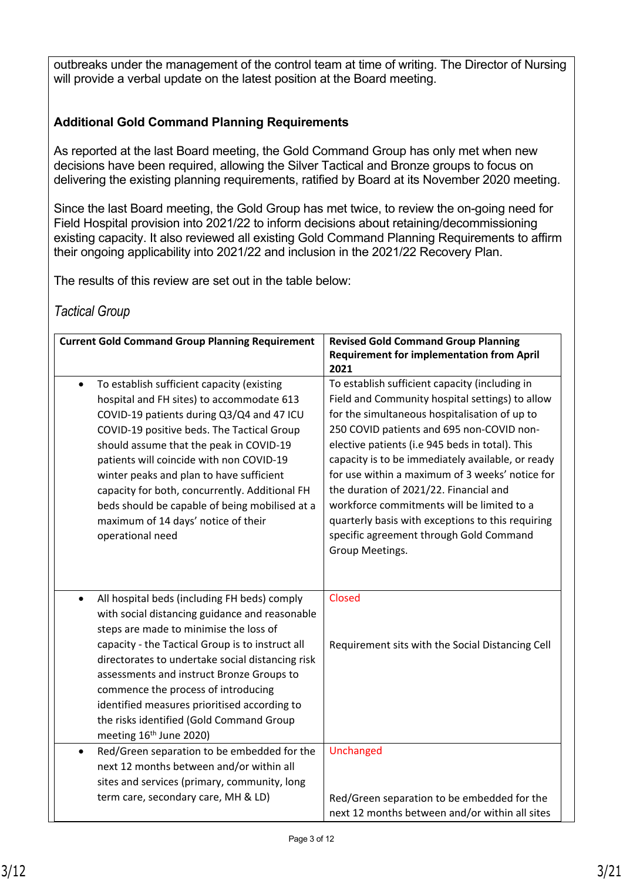outbreaks under the management of the control team at time of writing. The Director of Nursing will provide a verbal update on the latest position at the Board meeting.

### **Additional Gold Command Planning Requirements**

As reported at the last Board meeting, the Gold Command Group has only met when new decisions have been required, allowing the Silver Tactical and Bronze groups to focus on delivering the existing planning requirements, ratified by Board at its November 2020 meeting.

Since the last Board meeting, the Gold Group has met twice, to review the on-going need for Field Hospital provision into 2021/22 to inform decisions about retaining/decommissioning existing capacity. It also reviewed all existing Gold Command Planning Requirements to affirm their ongoing applicability into 2021/22 and inclusion in the 2021/22 Recovery Plan.

The results of this review are set out in the table below:

### *Tactical Group*

| <b>Current Gold Command Group Planning Requirement</b>                                     | <b>Revised Gold Command Group Planning</b><br><b>Requirement for implementation from April</b><br>2021 |
|--------------------------------------------------------------------------------------------|--------------------------------------------------------------------------------------------------------|
| To establish sufficient capacity (existing<br>$\bullet$                                    | To establish sufficient capacity (including in                                                         |
| hospital and FH sites) to accommodate 613                                                  | Field and Community hospital settings) to allow                                                        |
| COVID-19 patients during Q3/Q4 and 47 ICU                                                  | for the simultaneous hospitalisation of up to                                                          |
| COVID-19 positive beds. The Tactical Group                                                 | 250 COVID patients and 695 non-COVID non-                                                              |
| should assume that the peak in COVID-19                                                    | elective patients (i.e 945 beds in total). This                                                        |
| patients will coincide with non COVID-19                                                   | capacity is to be immediately available, or ready<br>for use within a maximum of 3 weeks' notice for   |
| winter peaks and plan to have sufficient<br>capacity for both, concurrently. Additional FH | the duration of 2021/22. Financial and                                                                 |
| beds should be capable of being mobilised at a                                             | workforce commitments will be limited to a                                                             |
| maximum of 14 days' notice of their                                                        | quarterly basis with exceptions to this requiring                                                      |
| operational need                                                                           | specific agreement through Gold Command                                                                |
|                                                                                            | Group Meetings.                                                                                        |
|                                                                                            |                                                                                                        |
| All hospital beds (including FH beds) comply<br>$\bullet$                                  | Closed                                                                                                 |
| with social distancing guidance and reasonable                                             |                                                                                                        |
| steps are made to minimise the loss of                                                     |                                                                                                        |
| capacity - the Tactical Group is to instruct all                                           | Requirement sits with the Social Distancing Cell                                                       |
| directorates to undertake social distancing risk                                           |                                                                                                        |
| assessments and instruct Bronze Groups to                                                  |                                                                                                        |
| commence the process of introducing<br>identified measures prioritised according to        |                                                                                                        |
| the risks identified (Gold Command Group                                                   |                                                                                                        |
| meeting 16 <sup>th</sup> June 2020)                                                        |                                                                                                        |
| Red/Green separation to be embedded for the                                                | Unchanged                                                                                              |
| next 12 months between and/or within all                                                   |                                                                                                        |
| sites and services (primary, community, long                                               |                                                                                                        |
| term care, secondary care, MH & LD)                                                        | Red/Green separation to be embedded for the                                                            |
|                                                                                            | next 12 months between and/or within all sites                                                         |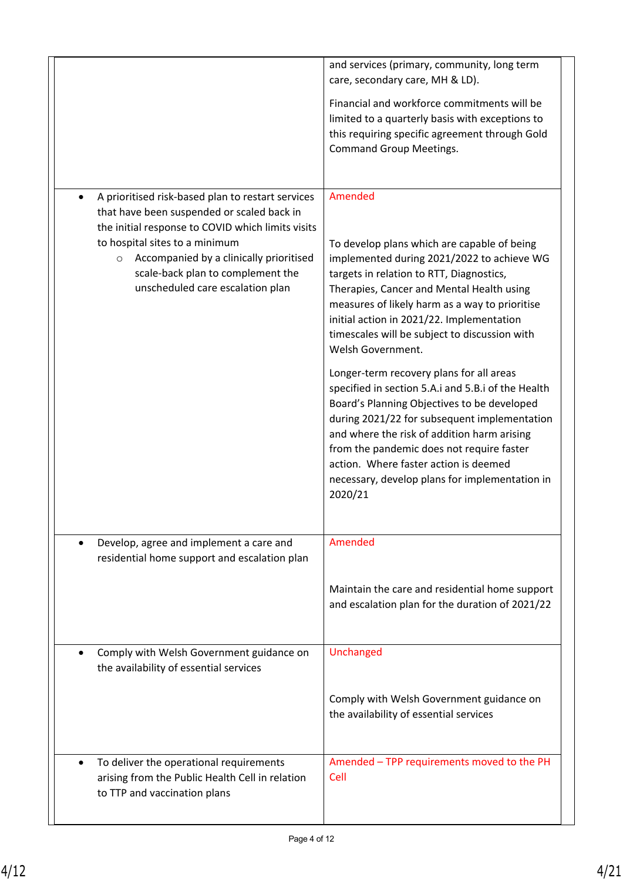|                                                                                                                                                                                                                                                         | and services (primary, community, long term<br>care, secondary care, MH & LD).                                                                                                                                                                                                                                                                                                                      |
|---------------------------------------------------------------------------------------------------------------------------------------------------------------------------------------------------------------------------------------------------------|-----------------------------------------------------------------------------------------------------------------------------------------------------------------------------------------------------------------------------------------------------------------------------------------------------------------------------------------------------------------------------------------------------|
|                                                                                                                                                                                                                                                         | Financial and workforce commitments will be<br>limited to a quarterly basis with exceptions to<br>this requiring specific agreement through Gold<br><b>Command Group Meetings.</b>                                                                                                                                                                                                                  |
| A prioritised risk-based plan to restart services<br>$\bullet$                                                                                                                                                                                          | Amended                                                                                                                                                                                                                                                                                                                                                                                             |
| that have been suspended or scaled back in<br>the initial response to COVID which limits visits<br>to hospital sites to a minimum<br>o Accompanied by a clinically prioritised<br>scale-back plan to complement the<br>unscheduled care escalation plan | To develop plans which are capable of being<br>implemented during 2021/2022 to achieve WG<br>targets in relation to RTT, Diagnostics,<br>Therapies, Cancer and Mental Health using<br>measures of likely harm as a way to prioritise<br>initial action in 2021/22. Implementation<br>timescales will be subject to discussion with<br>Welsh Government.<br>Longer-term recovery plans for all areas |
|                                                                                                                                                                                                                                                         | specified in section 5.A.i and 5.B.i of the Health<br>Board's Planning Objectives to be developed<br>during 2021/22 for subsequent implementation<br>and where the risk of addition harm arising<br>from the pandemic does not require faster<br>action. Where faster action is deemed<br>necessary, develop plans for implementation in<br>2020/21                                                 |
| Develop, agree and implement a care and<br>$\bullet$<br>residential home support and escalation plan                                                                                                                                                    | Amended                                                                                                                                                                                                                                                                                                                                                                                             |
|                                                                                                                                                                                                                                                         | Maintain the care and residential home support<br>and escalation plan for the duration of 2021/22                                                                                                                                                                                                                                                                                                   |
| Comply with Welsh Government guidance on<br>$\bullet$<br>the availability of essential services                                                                                                                                                         | Unchanged                                                                                                                                                                                                                                                                                                                                                                                           |
|                                                                                                                                                                                                                                                         | Comply with Welsh Government guidance on<br>the availability of essential services                                                                                                                                                                                                                                                                                                                  |
| To deliver the operational requirements<br>$\bullet$<br>arising from the Public Health Cell in relation<br>to TTP and vaccination plans                                                                                                                 | Amended - TPP requirements moved to the PH<br>Cell                                                                                                                                                                                                                                                                                                                                                  |
|                                                                                                                                                                                                                                                         |                                                                                                                                                                                                                                                                                                                                                                                                     |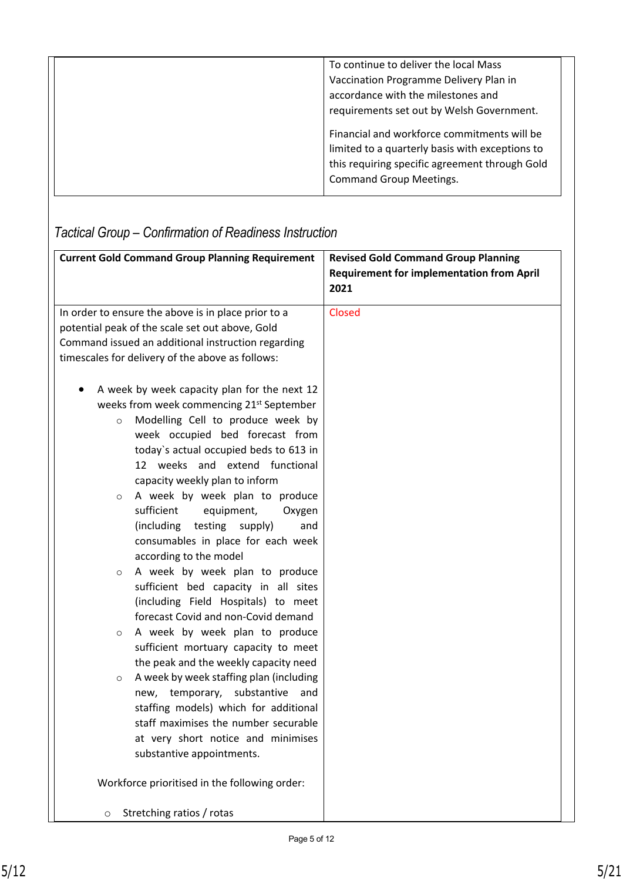| To continue to deliver the local Mass<br>Vaccination Programme Delivery Plan in<br>accordance with the milestones and<br>requirements set out by Welsh Government.                 |
|------------------------------------------------------------------------------------------------------------------------------------------------------------------------------------|
| Financial and workforce commitments will be<br>limited to a quarterly basis with exceptions to<br>this requiring specific agreement through Gold<br><b>Command Group Meetings.</b> |

| <b>Current Gold Command Group Planning Requirement</b> | <b>Revised Gold Command Group Planning</b>               |
|--------------------------------------------------------|----------------------------------------------------------|
|                                                        | <b>Requirement for implementation from April</b><br>2021 |
|                                                        |                                                          |
| In order to ensure the above is in place prior to a    | <b>Closed</b>                                            |
| potential peak of the scale set out above, Gold        |                                                          |
| Command issued an additional instruction regarding     |                                                          |
| timescales for delivery of the above as follows:       |                                                          |
| A week by week capacity plan for the next 12           |                                                          |
| weeks from week commencing 21 <sup>st</sup> September  |                                                          |
| Modelling Cell to produce week by<br>$\circ$           |                                                          |
| week occupied bed forecast from                        |                                                          |
| today's actual occupied beds to 613 in                 |                                                          |
| 12 weeks and extend functional                         |                                                          |
| capacity weekly plan to inform                         |                                                          |
| A week by week plan to produce<br>$\circ$              |                                                          |
| sufficient<br>equipment,<br>Oxygen                     |                                                          |
| (including<br>testing<br>supply)<br>and                |                                                          |
| consumables in place for each week                     |                                                          |
| according to the model                                 |                                                          |
| A week by week plan to produce<br>$\circ$              |                                                          |
| sufficient bed capacity in all sites                   |                                                          |
| (including Field Hospitals) to meet                    |                                                          |
| forecast Covid and non-Covid demand                    |                                                          |
| A week by week plan to produce<br>$\circ$              |                                                          |
| sufficient mortuary capacity to meet                   |                                                          |
| the peak and the weekly capacity need                  |                                                          |
| A week by week staffing plan (including<br>$\circ$     |                                                          |
| new, temporary, substantive and                        |                                                          |
| staffing models) which for additional                  |                                                          |
| staff maximises the number securable                   |                                                          |
| at very short notice and minimises                     |                                                          |
| substantive appointments.                              |                                                          |
| Workforce prioritised in the following order:          |                                                          |
| Stretching ratios / rotas<br>$\circ$                   |                                                          |

## *Tactical Group – Confirmation of Readiness Instruction*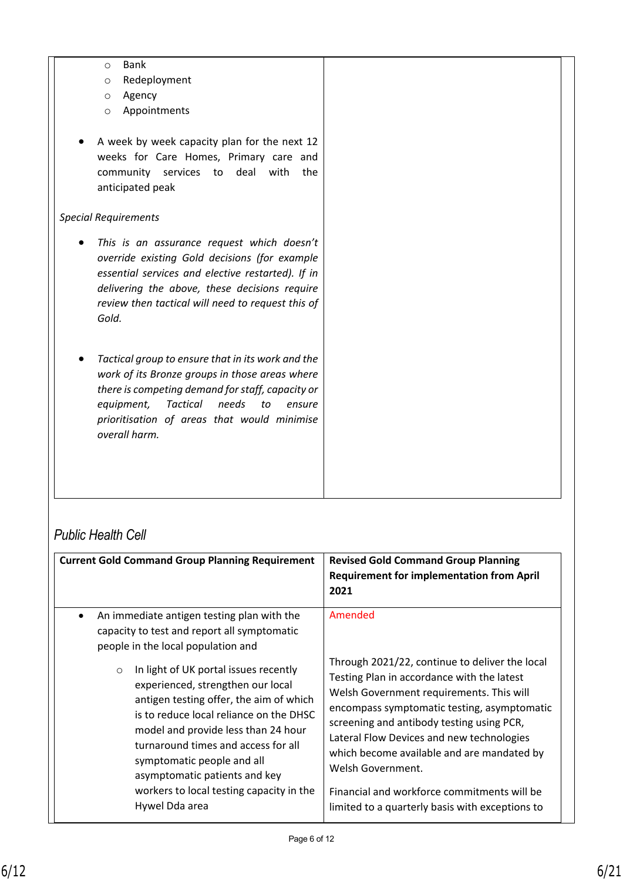- o Bank
- o Redeployment
- o Agency
- o Appointments
- A week by week capacity plan for the next 12 weeks for Care Homes, Primary care and community services to deal with the anticipated peak

#### *Special Requirements*

- *This is an assurance request which doesn't override existing Gold decisions (for example essential services and elective restarted). If in delivering the above, these decisions require review then tactical will need to request this of Gold.*
- *Tactical group to ensure that in its work and the work of its Bronze groups in those areas where there is competing demand for staff, capacity or equipment, Tactical needs to ensure prioritisation of areas that would minimise overall harm.*

## *Public Health Cell*

| <b>Current Gold Command Group Planning Requirement</b>                                                                                                                                                                                                                                                                                                                                 | <b>Revised Gold Command Group Planning</b><br><b>Requirement for implementation from April</b><br>2021                                                                                                                                                                                                                                                                                                                                                 |
|----------------------------------------------------------------------------------------------------------------------------------------------------------------------------------------------------------------------------------------------------------------------------------------------------------------------------------------------------------------------------------------|--------------------------------------------------------------------------------------------------------------------------------------------------------------------------------------------------------------------------------------------------------------------------------------------------------------------------------------------------------------------------------------------------------------------------------------------------------|
| An immediate antigen testing plan with the<br>$\bullet$<br>capacity to test and report all symptomatic<br>people in the local population and                                                                                                                                                                                                                                           | Amended                                                                                                                                                                                                                                                                                                                                                                                                                                                |
| In light of UK portal issues recently<br>$\circ$<br>experienced, strengthen our local<br>antigen testing offer, the aim of which<br>is to reduce local reliance on the DHSC<br>model and provide less than 24 hour<br>turnaround times and access for all<br>symptomatic people and all<br>asymptomatic patients and key<br>workers to local testing capacity in the<br>Hywel Dda area | Through 2021/22, continue to deliver the local<br>Testing Plan in accordance with the latest<br>Welsh Government requirements. This will<br>encompass symptomatic testing, asymptomatic<br>screening and antibody testing using PCR,<br>Lateral Flow Devices and new technologies<br>which become available and are mandated by<br>Welsh Government.<br>Financial and workforce commitments will be<br>limited to a quarterly basis with exceptions to |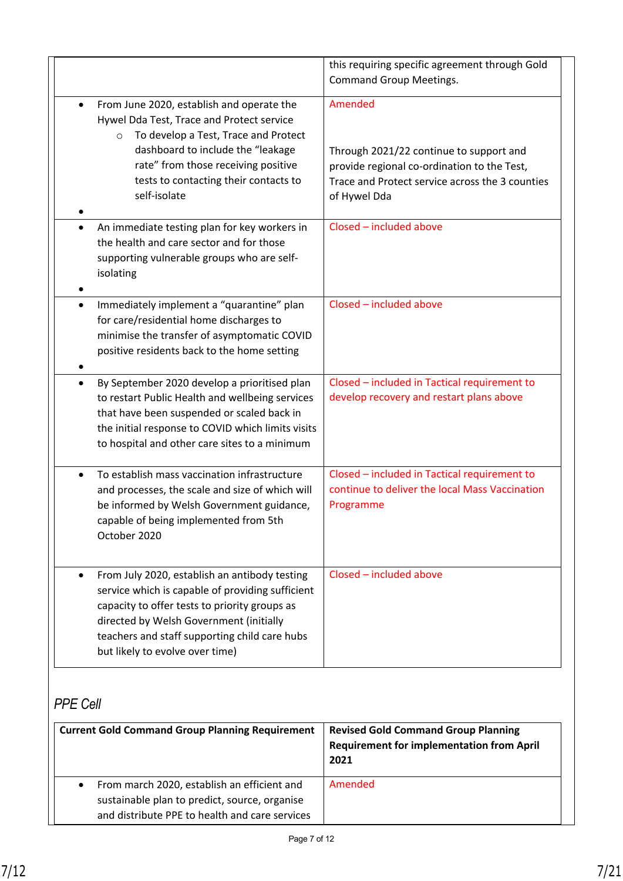|                                                                                                                                                                                                                                                                                                | this requiring specific agreement through Gold<br><b>Command Group Meetings.</b>                                                                                     |
|------------------------------------------------------------------------------------------------------------------------------------------------------------------------------------------------------------------------------------------------------------------------------------------------|----------------------------------------------------------------------------------------------------------------------------------------------------------------------|
| From June 2020, establish and operate the<br>٠<br>Hywel Dda Test, Trace and Protect service<br>To develop a Test, Trace and Protect<br>$\circ$<br>dashboard to include the "leakage<br>rate" from those receiving positive<br>tests to contacting their contacts to<br>self-isolate            | Amended<br>Through 2021/22 continue to support and<br>provide regional co-ordination to the Test,<br>Trace and Protect service across the 3 counties<br>of Hywel Dda |
| An immediate testing plan for key workers in<br>$\bullet$<br>the health and care sector and for those<br>supporting vulnerable groups who are self-<br>isolating                                                                                                                               | Closed - included above                                                                                                                                              |
| Immediately implement a "quarantine" plan<br>$\bullet$<br>for care/residential home discharges to<br>minimise the transfer of asymptomatic COVID<br>positive residents back to the home setting                                                                                                | Closed - included above                                                                                                                                              |
| By September 2020 develop a prioritised plan<br>٠<br>to restart Public Health and wellbeing services<br>that have been suspended or scaled back in<br>the initial response to COVID which limits visits<br>to hospital and other care sites to a minimum                                       | Closed - included in Tactical requirement to<br>develop recovery and restart plans above                                                                             |
| To establish mass vaccination infrastructure<br>$\bullet$<br>and processes, the scale and size of which will<br>be informed by Welsh Government guidance,<br>capable of being implemented from 5th<br>October 2020                                                                             | Closed - included in Tactical requirement to<br>continue to deliver the local Mass Vaccination<br>Programme                                                          |
| From July 2020, establish an antibody testing<br>$\bullet$<br>service which is capable of providing sufficient<br>capacity to offer tests to priority groups as<br>directed by Welsh Government (initially<br>teachers and staff supporting child care hubs<br>but likely to evolve over time) | Closed - included above                                                                                                                                              |

## *PPE Cell*

| <b>Current Gold Command Group Planning Requirement</b>                                                                                                      | <b>Revised Gold Command Group Planning</b><br><b>Requirement for implementation from April</b><br>2021 |
|-------------------------------------------------------------------------------------------------------------------------------------------------------------|--------------------------------------------------------------------------------------------------------|
| From march 2020, establish an efficient and<br>$\bullet$<br>sustainable plan to predict, source, organise<br>and distribute PPE to health and care services | Amended                                                                                                |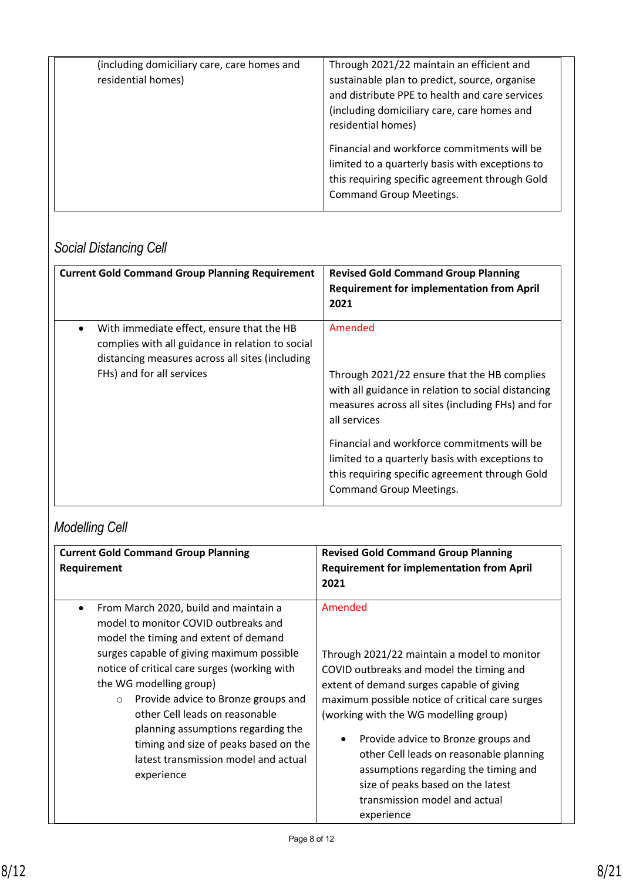| (including domiciliary care, care homes and<br>residential homes) | Through 2021/22 maintain an efficient and<br>sustainable plan to predict, source, organise<br>and distribute PPE to health and care services<br>(including domiciliary care, care homes and<br>residential homes) |
|-------------------------------------------------------------------|-------------------------------------------------------------------------------------------------------------------------------------------------------------------------------------------------------------------|
|                                                                   | Financial and workforce commitments will be<br>limited to a quarterly basis with exceptions to<br>this requiring specific agreement through Gold<br><b>Command Group Meetings.</b>                                |

## *Social Distancing Cell*

| <b>Current Gold Command Group Planning Requirement</b>                                                                                                                        | <b>Revised Gold Command Group Planning</b><br><b>Requirement for implementation from April</b><br>2021                                                                                                                                                                                                                                                                  |
|-------------------------------------------------------------------------------------------------------------------------------------------------------------------------------|-------------------------------------------------------------------------------------------------------------------------------------------------------------------------------------------------------------------------------------------------------------------------------------------------------------------------------------------------------------------------|
| With immediate effect, ensure that the HB<br>complies with all guidance in relation to social<br>distancing measures across all sites (including<br>FHs) and for all services | Amended<br>Through 2021/22 ensure that the HB complies<br>with all guidance in relation to social distancing<br>measures across all sites (including FHs) and for<br>all services<br>Financial and workforce commitments will be<br>limited to a quarterly basis with exceptions to<br>this requiring specific agreement through Gold<br><b>Command Group Meetings.</b> |

## *Modelling Cell*

| <b>Current Gold Command Group Planning</b><br>Requirement | <b>Revised Gold Command Group Planning</b><br><b>Requirement for implementation from April</b><br>2021 |
|-----------------------------------------------------------|--------------------------------------------------------------------------------------------------------|
| From March 2020, build and maintain a                     | Amended                                                                                                |
| model to monitor COVID outbreaks and                      | Through 2021/22 maintain a model to monitor                                                            |
| model the timing and extent of demand                     | COVID outbreaks and model the timing and                                                               |
| surges capable of giving maximum possible                 | extent of demand surges capable of giving                                                              |
| notice of critical care surges (working with              | maximum possible notice of critical care surges                                                        |
| the WG modelling group)                                   | (working with the WG modelling group)                                                                  |
| Provide advice to Bronze groups and                       | Provide advice to Bronze groups and                                                                    |
| $\circ$                                                   | ٠                                                                                                      |
| other Cell leads on reasonable                            | other Cell leads on reasonable planning                                                                |
| planning assumptions regarding the                        | assumptions regarding the timing and                                                                   |
| timing and size of peaks based on the                     | size of peaks based on the latest                                                                      |
| latest transmission model and actual                      | transmission model and actual                                                                          |
| experience                                                | experience                                                                                             |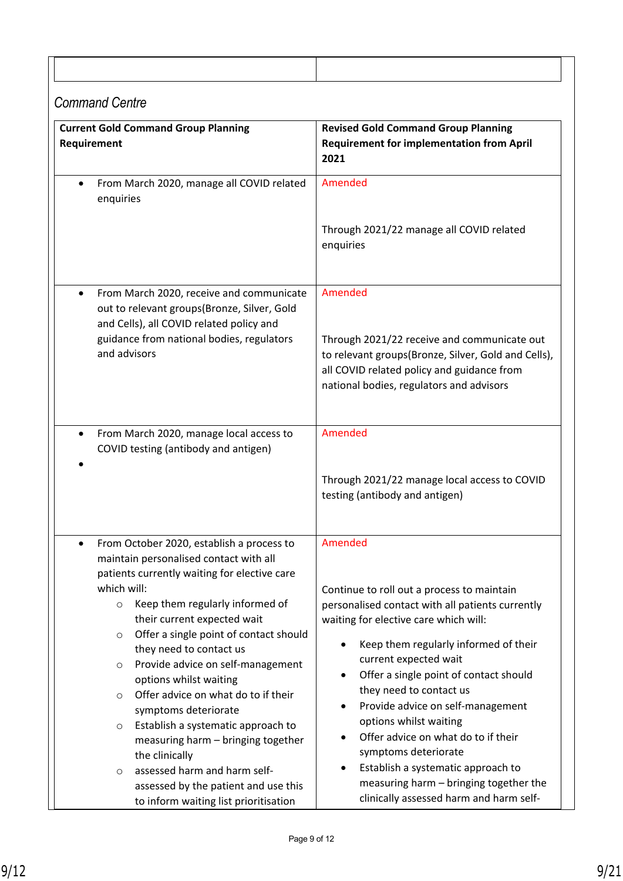## *Command Centre*

| <b>Current Gold Command Group Planning</b><br>Requirement                                                                                                                                                                                                                                                                                                    | <b>Revised Gold Command Group Planning</b><br><b>Requirement for implementation from April</b><br>2021                                                                                                                                                                                                                                                         |
|--------------------------------------------------------------------------------------------------------------------------------------------------------------------------------------------------------------------------------------------------------------------------------------------------------------------------------------------------------------|----------------------------------------------------------------------------------------------------------------------------------------------------------------------------------------------------------------------------------------------------------------------------------------------------------------------------------------------------------------|
| From March 2020, manage all COVID related<br>$\bullet$<br>enquiries                                                                                                                                                                                                                                                                                          | Amended                                                                                                                                                                                                                                                                                                                                                        |
|                                                                                                                                                                                                                                                                                                                                                              | Through 2021/22 manage all COVID related<br>enquiries                                                                                                                                                                                                                                                                                                          |
| From March 2020, receive and communicate<br>$\bullet$<br>out to relevant groups(Bronze, Silver, Gold<br>and Cells), all COVID related policy and                                                                                                                                                                                                             | Amended                                                                                                                                                                                                                                                                                                                                                        |
| guidance from national bodies, regulators<br>and advisors                                                                                                                                                                                                                                                                                                    | Through 2021/22 receive and communicate out<br>to relevant groups(Bronze, Silver, Gold and Cells),<br>all COVID related policy and guidance from<br>national bodies, regulators and advisors                                                                                                                                                                   |
| From March 2020, manage local access to<br>$\bullet$<br>COVID testing (antibody and antigen)                                                                                                                                                                                                                                                                 | Amended                                                                                                                                                                                                                                                                                                                                                        |
|                                                                                                                                                                                                                                                                                                                                                              | Through 2021/22 manage local access to COVID<br>testing (antibody and antigen)                                                                                                                                                                                                                                                                                 |
| From October 2020, establish a process to<br>٠<br>maintain personalised contact with all<br>patients currently waiting for elective care<br>which will:<br>Keep them regularly informed of<br>$\circ$                                                                                                                                                        | Amended<br>Continue to roll out a process to maintain<br>personalised contact with all patients currently                                                                                                                                                                                                                                                      |
| their current expected wait<br>Offer a single point of contact should<br>O<br>they need to contact us<br>Provide advice on self-management<br>$\circ$<br>options whilst waiting<br>Offer advice on what do to if their<br>$\circ$<br>symptoms deteriorate<br>Establish a systematic approach to<br>O<br>measuring harm - bringing together<br>the clinically | waiting for elective care which will:<br>Keep them regularly informed of their<br>$\bullet$<br>current expected wait<br>Offer a single point of contact should<br>$\bullet$<br>they need to contact us<br>Provide advice on self-management<br>$\bullet$<br>options whilst waiting<br>Offer advice on what do to if their<br>$\bullet$<br>symptoms deteriorate |
| assessed harm and harm self-<br>O<br>assessed by the patient and use this<br>to inform waiting list prioritisation                                                                                                                                                                                                                                           | Establish a systematic approach to<br>$\bullet$<br>measuring harm - bringing together the<br>clinically assessed harm and harm self-                                                                                                                                                                                                                           |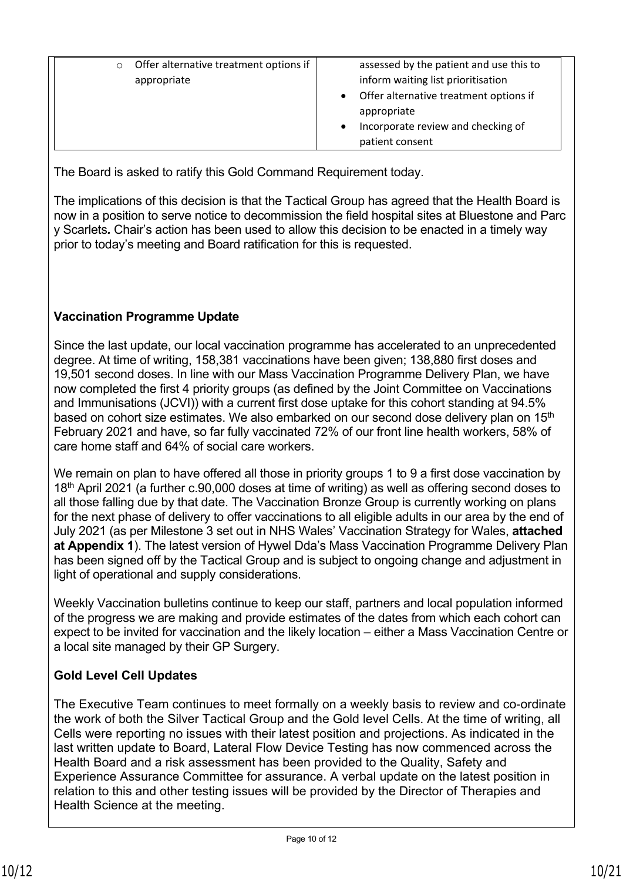| Offer alternative treatment options if<br>assessed by the patient and use this to<br>inform waiting list prioritisation<br>appropriate<br>Offer alternative treatment options if<br>appropriate<br>Incorporate review and checking of<br>patient consent |
|----------------------------------------------------------------------------------------------------------------------------------------------------------------------------------------------------------------------------------------------------------|
|----------------------------------------------------------------------------------------------------------------------------------------------------------------------------------------------------------------------------------------------------------|

The Board is asked to ratify this Gold Command Requirement today.

The implications of this decision is that the Tactical Group has agreed that the Health Board is now in a position to serve notice to decommission the field hospital sites at Bluestone and Parc y Scarlets*.* Chair's action has been used to allow this decision to be enacted in a timely way prior to today's meeting and Board ratification for this is requested.

### **Vaccination Programme Update**

Since the last update, our local vaccination programme has accelerated to an unprecedented degree. At time of writing, 158,381 vaccinations have been given; 138,880 first doses and 19,501 second doses. In line with our Mass Vaccination Programme Delivery Plan, we have now completed the first 4 priority groups (as defined by the Joint Committee on Vaccinations and Immunisations (JCVI)) with a current first dose uptake for this cohort standing at 94.5% based on cohort size estimates. We also embarked on our second dose delivery plan on 15<sup>th</sup> February 2021 and have, so far fully vaccinated 72% of our front line health workers, 58% of care home staff and 64% of social care workers.

We remain on plan to have offered all those in priority groups 1 to 9 a first dose vaccination by 18<sup>th</sup> April 2021 (a further c.90,000 doses at time of writing) as well as offering second doses to all those falling due by that date. The Vaccination Bronze Group is currently working on plans for the next phase of delivery to offer vaccinations to all eligible adults in our area by the end of July 2021 (as per Milestone 3 set out in NHS Wales' Vaccination Strategy for Wales, **attached at Appendix 1**). The latest version of Hywel Dda's Mass Vaccination Programme Delivery Plan has been signed off by the Tactical Group and is subject to ongoing change and adjustment in light of operational and supply considerations.

Weekly Vaccination bulletins continue to keep our staff, partners and local population informed of the progress we are making and provide estimates of the dates from which each cohort can expect to be invited for vaccination and the likely location – either a Mass Vaccination Centre or a local site managed by their GP Surgery.

### **Gold Level Cell Updates**

The Executive Team continues to meet formally on a weekly basis to review and co-ordinate the work of both the Silver Tactical Group and the Gold level Cells. At the time of writing, all Cells were reporting no issues with their latest position and projections. As indicated in the last written update to Board, Lateral Flow Device Testing has now commenced across the Health Board and a risk assessment has been provided to the Quality, Safety and Experience Assurance Committee for assurance. A verbal update on the latest position in relation to this and other testing issues will be provided by the Director of Therapies and Health Science at the meeting.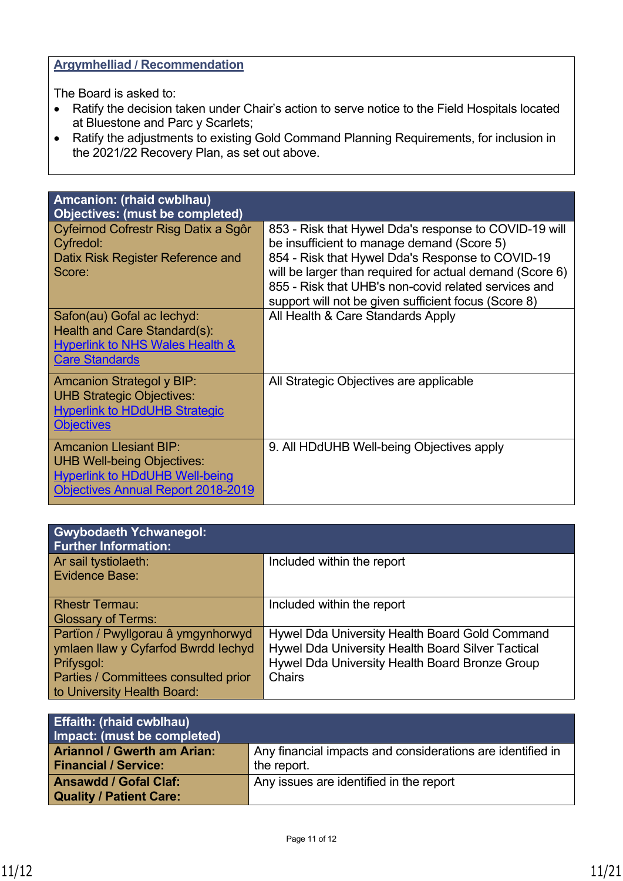### **Argymhelliad / Recommendation**

The Board is asked to:

- Ratify the decision taken under Chair's action to serve notice to the Field Hospitals located at Bluestone and Parc y Scarlets;
- Ratify the adjustments to existing Gold Command Planning Requirements, for inclusion in the 2021/22 Recovery Plan, as set out above.

| Amcanion: (rhaid cwblhau)<br><b>Objectives: (must be completed)</b>                                                                               |                                                                                                                                                                                                                                                                                                                                     |
|---------------------------------------------------------------------------------------------------------------------------------------------------|-------------------------------------------------------------------------------------------------------------------------------------------------------------------------------------------------------------------------------------------------------------------------------------------------------------------------------------|
| Cyfeirnod Cofrestr Risg Datix a Sgôr<br>Cyfredol:<br>Datix Risk Register Reference and<br>Score:                                                  | 853 - Risk that Hywel Dda's response to COVID-19 will<br>be insufficient to manage demand (Score 5)<br>854 - Risk that Hywel Dda's Response to COVID-19<br>will be larger than required for actual demand (Score 6)<br>855 - Risk that UHB's non-covid related services and<br>support will not be given sufficient focus (Score 8) |
| Safon(au) Gofal ac lechyd:<br>Health and Care Standard(s):<br><b>Hyperlink to NHS Wales Health &amp;</b><br><b>Care Standards</b>                 | All Health & Care Standards Apply                                                                                                                                                                                                                                                                                                   |
| <b>Amcanion Strategol y BIP:</b><br><b>UHB Strategic Objectives:</b><br><b>Hyperlink to HDdUHB Strategic</b><br><b>Objectives</b>                 | All Strategic Objectives are applicable                                                                                                                                                                                                                                                                                             |
| <b>Amcanion Llesiant BIP:</b><br><b>UHB Well-being Objectives:</b><br><b>Hyperlink to HDdUHB Well-being</b><br>Objectives Annual Report 2018-2019 | 9. All HDdUHB Well-being Objectives apply                                                                                                                                                                                                                                                                                           |

| <b>Gwybodaeth Ychwanegol:</b><br><b>Further Information:</b>                                                                                                   |                                                                                                                                                                        |
|----------------------------------------------------------------------------------------------------------------------------------------------------------------|------------------------------------------------------------------------------------------------------------------------------------------------------------------------|
| Ar sail tystiolaeth:<br>Evidence Base:                                                                                                                         | Included within the report                                                                                                                                             |
| <b>Rhestr Termau:</b><br><b>Glossary of Terms:</b>                                                                                                             | Included within the report                                                                                                                                             |
| Partïon / Pwyllgorau â ymgynhorwyd<br>ymlaen llaw y Cyfarfod Bwrdd Iechyd<br>Prifysgol:<br>Parties / Committees consulted prior<br>to University Health Board: | Hywel Dda University Health Board Gold Command<br>Hywel Dda University Health Board Silver Tactical<br>Hywel Dda University Health Board Bronze Group<br><b>Chairs</b> |

| <b>Effaith: (rhaid cwblhau)</b><br>Impact: (must be completed)    |                                                                           |
|-------------------------------------------------------------------|---------------------------------------------------------------------------|
| <b>Ariannol / Gwerth am Arian:</b><br><b>Financial / Service:</b> | Any financial impacts and considerations are identified in<br>the report. |
| <b>Ansawdd / Gofal Claf:</b><br><b>Quality / Patient Care:</b>    | Any issues are identified in the report                                   |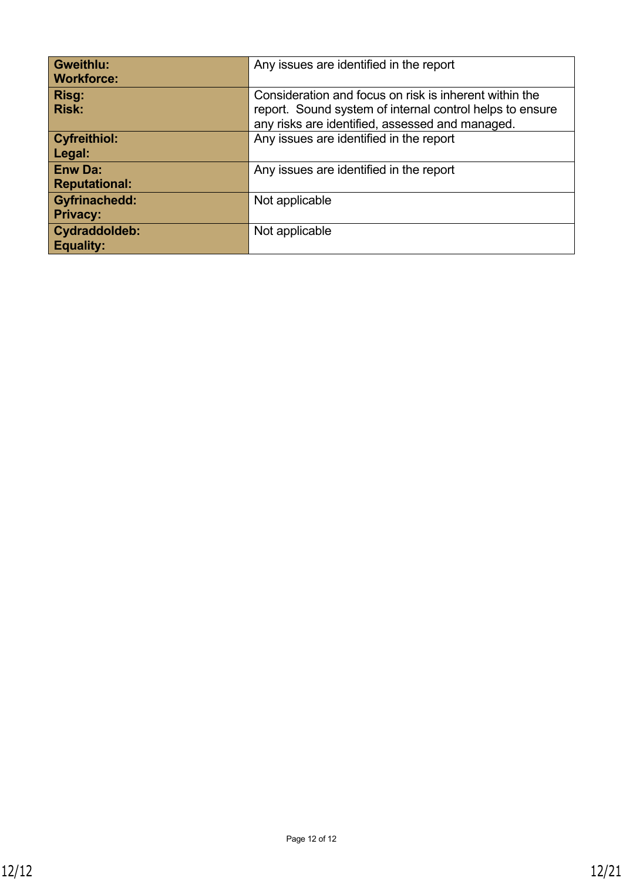| <b>Gweithlu:</b><br><b>Workforce:</b>   | Any issues are identified in the report                                                                                                                               |
|-----------------------------------------|-----------------------------------------------------------------------------------------------------------------------------------------------------------------------|
| Risg:<br><b>Risk:</b>                   | Consideration and focus on risk is inherent within the<br>report. Sound system of internal control helps to ensure<br>any risks are identified, assessed and managed. |
| <b>Cyfreithiol:</b><br>Legal:           | Any issues are identified in the report                                                                                                                               |
| <b>Enw Da:</b><br><b>Reputational:</b>  | Any issues are identified in the report                                                                                                                               |
| <b>Gyfrinachedd:</b><br><b>Privacy:</b> | Not applicable                                                                                                                                                        |
| Cydraddoldeb:<br><b>Equality:</b>       | Not applicable                                                                                                                                                        |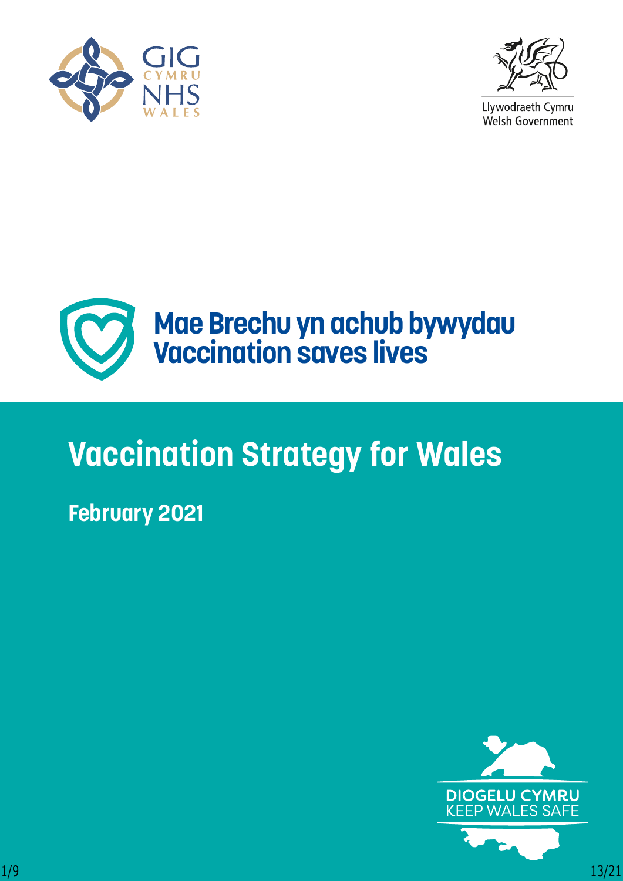



Llywodraeth Cymru Welsh Government



# **Vaccination Strategy for Wales**

## **February 2021**

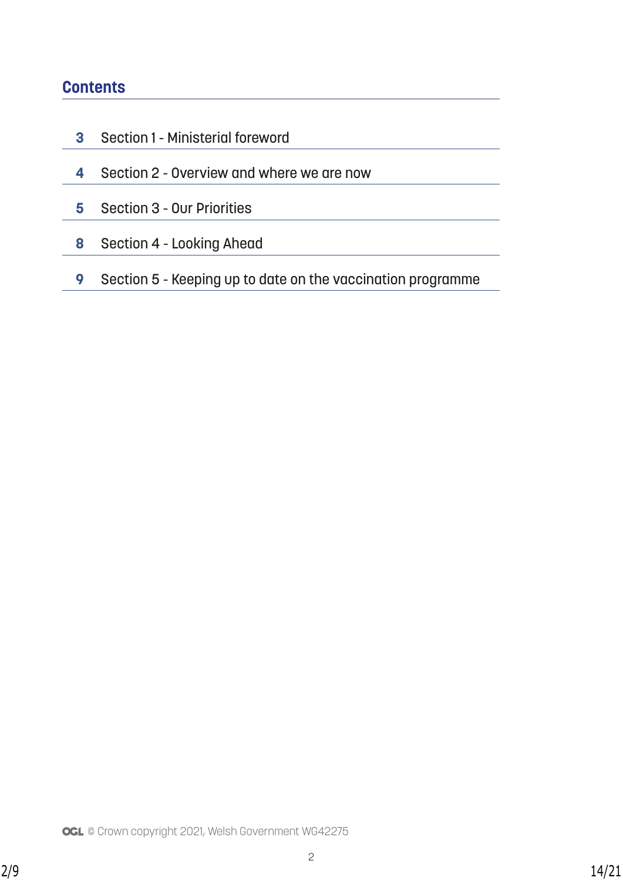## **Contents**

- Section 1 Ministerial foreword
- Section 2 Overview and where we are now
- Section 3 Our Priorities
- Section 4 Looking Ahead
- Section 5 Keeping up to date on the vaccination programme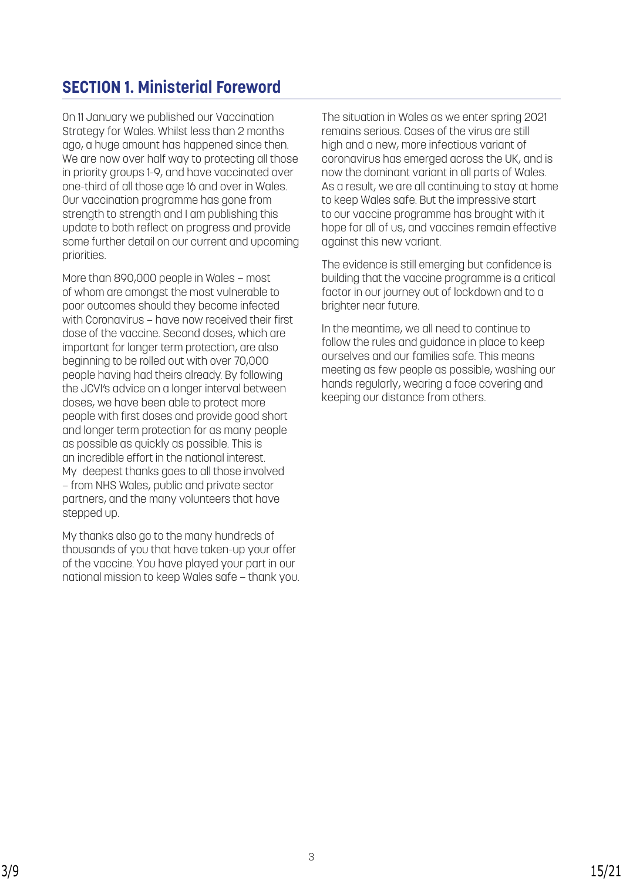## **SECTION 1. Ministerial Foreword**

On 11 January we published our Vaccination Strategy for Wales. Whilst less than 2 months ago, a huge amount has happened since then. We are now over half way to protecting all those in priority groups 1-9, and have vaccinated over one-third of all those age 16 and over in Wales. Our vaccination programme has gone from strength to strength and I am publishing this update to both reflect on progress and provide some further detail on our current and upcoming priorities.

More than 890,000 people in Wales – most of whom are amongst the most vulnerable to poor outcomes should they become infected with Coronavirus – have now received their first dose of the vaccine. Second doses, which are important for longer term protection, are also beginning to be rolled out with over 70,000 people having had theirs already. By following the JCVI's advice on a longer interval between doses, we have been able to protect more people with first doses and provide good short and longer term protection for as many people as possible as quickly as possible. This is an incredible effort in the national interest. My deepest thanks goes to all those involved – from NHS Wales, public and private sector partners, and the many volunteers that have stepped up.

My thanks also go to the many hundreds of thousands of you that have taken-up your offer of the vaccine. You have played your part in our national mission to keep Wales safe – thank you. The situation in Wales as we enter spring 2021 remains serious. Cases of the virus are still high and a new, more infectious variant of coronavirus has emerged across the UK, and is now the dominant variant in all parts of Wales. As a result, we are all continuing to stay at home to keep Wales safe. But the impressive start to our vaccine programme has brought with it hope for all of us, and vaccines remain effective against this new variant.

The evidence is still emerging but confidence is building that the vaccine programme is a critical factor in our journey out of lockdown and to a brighter near future.

In the meantime, we all need to continue to follow the rules and guidance in place to keep ourselves and our families safe. This means meeting as few people as possible, washing our hands regularly, wearing a face covering and keeping our distance from others.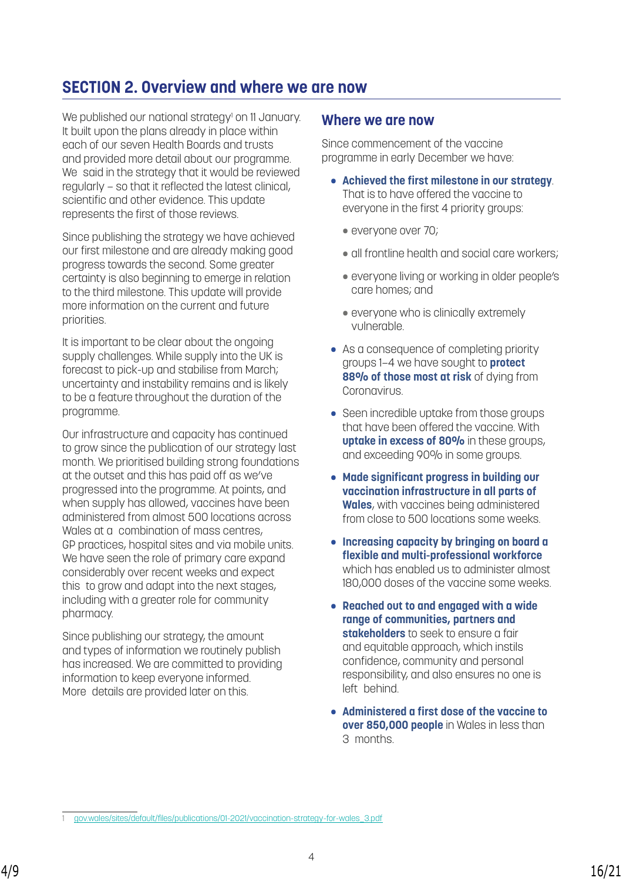## **SECTION 2. Overview and where we are now**

We published our national strategy<sup>1</sup> on 11 January. It built upon the plans already in place within each of our seven Health Boards and trusts and provided more detail about our programme. We said in the strategy that it would be reviewed regularly – so that it reflected the latest clinical, scientific and other evidence. This update represents the first of those reviews.

Since publishing the strategy we have achieved our first milestone and are already making good progress towards the second. Some greater certainty is also beginning to emerge in relation to the third milestone. This update will provide more information on the current and future priorities.

It is important to be clear about the ongoing supply challenges. While supply into the UK is forecast to pick-up and stabilise from March; uncertainty and instability remains and is likely to be a feature throughout the duration of the programme.

Our infrastructure and capacity has continued to grow since the publication of our strategy last month. We prioritised building strong foundations at the outset and this has paid off as we've progressed into the programme. At points, and when supply has allowed, vaccines have been administered from almost 500 locations across Wales at a combination of mass centres, GP practices, hospital sites and via mobile units. We have seen the role of primary care expand considerably over recent weeks and expect this to grow and adapt into the next stages, including with a greater role for community pharmacy.

Since publishing our strategy, the amount and types of information we routinely publish has increased. We are committed to providing information to keep everyone informed. More details are provided later on this.

### **Where we are now**

Since commencement of the vaccine programme in early December we have:

- **Achieved the first milestone in our strategy**. That is to have offered the vaccine to everyone in the first 4 priority groups:
	- everyone over 70;
	- all frontline health and social care workers;
	- everyone living or working in older people's care homes; and
	- everyone who is clinically extremely vulnerable.
- As a consequence of completing priority groups 1–4 we have sought to **protect 88% of those most at risk** of dying from Coronavirus.
- Seen incredible uptake from those groups that have been offered the vaccine. With **uptake in excess of 80%** in these groups, and exceeding 90% in some groups.
- **Made significant progress in building our vaccination infrastructure in all parts of Wales**, with vaccines being administered from close to 500 locations some weeks.
- **Increasing capacity by bringing on board a flexible and multi-professional workforce** which has enabled us to administer almost 180,000 doses of the vaccine some weeks.
- **Reached out to and engaged with a wide range of communities, partners and stakeholders** to seek to ensure a fair and equitable approach, which instils confidence, community and personal responsibility, and also ensures no one is left behind.
- **Administered a first dose of the vaccine to over 850,000 people** in Wales in less than 3 months.

<sup>1</sup> [gov.wales/sites/default/files/publications/01-2021/vaccination-strategy-for-wales\\_3.pdf](http://gov.wales/sites/default/files/publications/2021-01/vaccination-strategy-for-wales_3.pdf)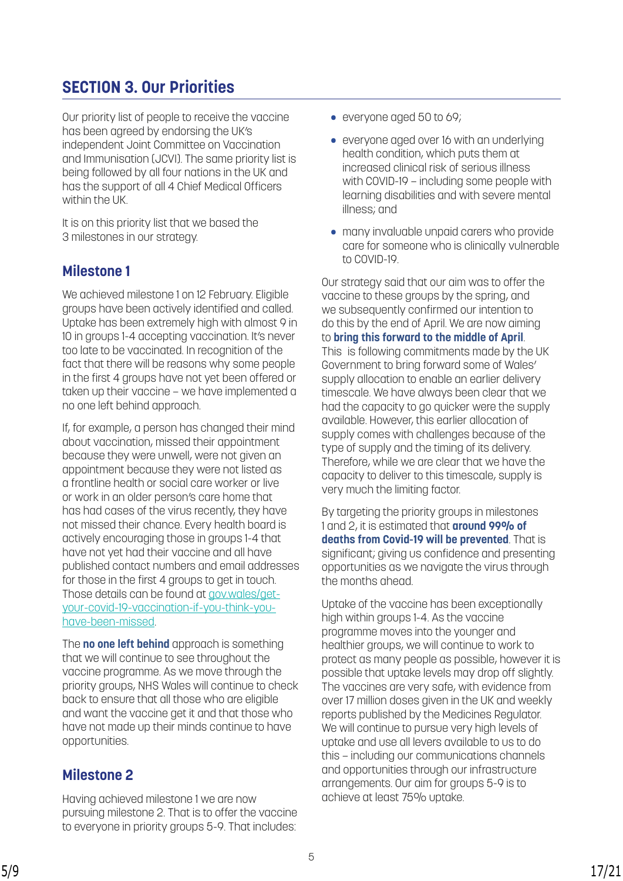## **SECTION 3. Our Priorities**

Our priority list of people to receive the vaccine has been agreed by endorsing the UK's independent Joint Committee on Vaccination and Immunisation (JCVI). The same priority list is being followed by all four nations in the UK and has the support of all 4 Chief Medical Officers within the UK.

It is on this priority list that we based the 3 milestones in our strategy.

## **Milestone 1**

We achieved milestone 1 on 12 February. Eligible groups have been actively identified and called. Uptake has been extremely high with almost 9 in 10 in groups 1-4 accepting vaccination. It's never too late to be vaccinated. In recognition of the fact that there will be reasons why some people in the first 4 groups have not yet been offered or taken up their vaccine – we have implemented a no one left behind approach.

If, for example, a person has changed their mind about vaccination, missed their appointment because they were unwell, were not given an appointment because they were not listed as a frontline health or social care worker or live or work in an older person's care home that has had cases of the virus recently, they have not missed their chance. Every health board is actively encouraging those in groups 1-4 that have not yet had their vaccine and all have published contact numbers and email addresses for those in the first 4 groups to get in touch. Those details can be found at [gov.wales/get](http:// gov.wales/get-your-covid-19-vaccination-if-you-think-you-have-been-missed)[your-covid-19-vaccination-if-you-think-you](http:// gov.wales/get-your-covid-19-vaccination-if-you-think-you-have-been-missed)[have-been-missed.](http:// gov.wales/get-your-covid-19-vaccination-if-you-think-you-have-been-missed)

The **no one left behind** approach is something that we will continue to see throughout the vaccine programme. As we move through the priority groups, NHS Wales will continue to check back to ensure that all those who are eligible and want the vaccine get it and that those who have not made up their minds continue to have opportunities.

## **Milestone 2**

Having achieved milestone 1 we are now pursuing milestone 2. That is to offer the vaccine to everyone in priority groups 5-9. That includes:

- everyone aged 50 to 69;
- everyone aged over 16 with an underlying health condition, which puts them at increased clinical risk of serious illness with COVID-19 – including some people with learning disabilities and with severe mental illness; and
- many invaluable unpaid carers who provide care for someone who is clinically vulnerable to COVID-19.

Our strategy said that our aim was to offer the vaccine to these groups by the spring, and we subsequently confirmed our intention to do this by the end of April. We are now aiming to **bring this forward to the middle of April**. This is following commitments made by the UK Government to bring forward some of Wales' supply allocation to enable an earlier delivery timescale. We have always been clear that we had the capacity to go quicker were the supply available. However, this earlier allocation of supply comes with challenges because of the type of supply and the timing of its delivery. Therefore, while we are clear that we have the capacity to deliver to this timescale, supply is very much the limiting factor.

By targeting the priority groups in milestones 1 and 2, it is estimated that **around 99% of deaths from Covid-19 will be prevented**. That is significant; giving us confidence and presenting opportunities as we navigate the virus through the months ahead.

Uptake of the vaccine has been exceptionally high within groups 1-4. As the vaccine programme moves into the younger and healthier groups, we will continue to work to protect as many people as possible, however it is possible that uptake levels may drop off slightly. The vaccines are very safe, with evidence from over 17 million doses given in the UK and weekly reports published by the Medicines Regulator. We will continue to pursue very high levels of uptake and use all levers available to us to do this – including our communications channels and opportunities through our infrastructure arrangements. Our aim for groups 5-9 is to achieve at least 75% uptake.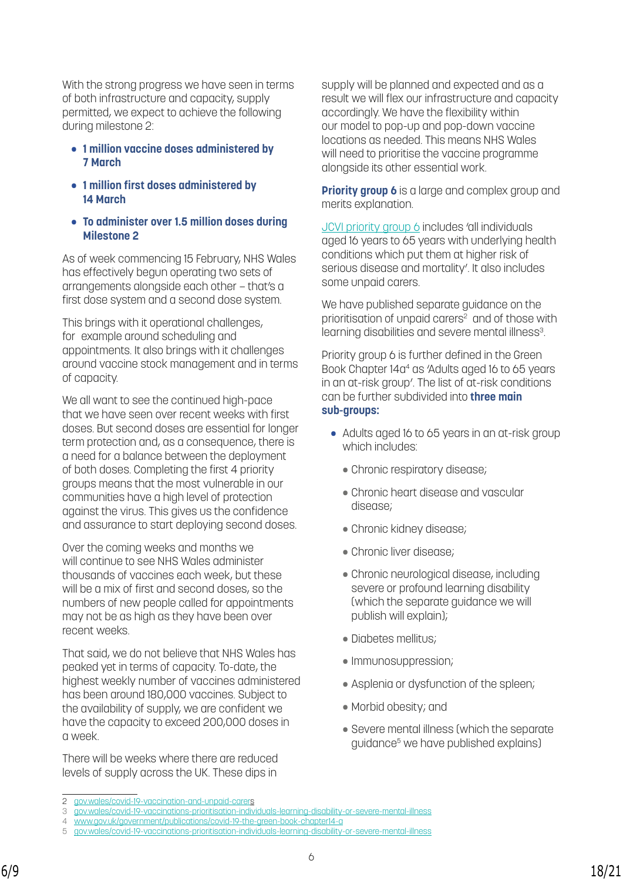With the strong progress we have seen in terms of both infrastructure and capacity, supply permitted, we expect to achieve the following during milestone 2:

- **1 million vaccine doses administered by 7 March**
- **1 million first doses administered by 14 March**
- **To administer over 1.5 million doses during Milestone 2**

As of week commencing 15 February, NHS Wales has effectively begun operating two sets of arrangements alongside each other – that's a first dose system and a second dose system.

This brings with it operational challenges, for example around scheduling and appointments. It also brings with it challenges around vaccine stock management and in terms of capacity.

We all want to see the continued high-pace that we have seen over recent weeks with first doses. But second doses are essential for longer term protection and, as a consequence, there is a need for a balance between the deployment of both doses. Completing the first 4 priority groups means that the most vulnerable in our communities have a high level of protection against the virus. This gives us the confidence and assurance to start deploying second doses.

Over the coming weeks and months we will continue to see NHS Wales administer thousands of vaccines each week, but these will be a mix of first and second doses, so the numbers of new people called for appointments may not be as high as they have been over recent weeks.

That said, we do not believe that NHS Wales has peaked yet in terms of capacity. To-date, the highest weekly number of vaccines administered has been around 180,000 vaccines. Subject to the availability of supply, we are confident we have the capacity to exceed 200,000 doses in a week.

There will be weeks where there are reduced levels of supply across the UK. These dips in

supply will be planned and expected and as a result we will flex our infrastructure and capacity accordingly. We have the flexibility within our model to pop-up and pop-down vaccine locations as needed. This means NHS Wales will need to prioritise the vaccine programme alongside its other essential work.

**Priority group 6** is a large and complex group and merits explanation.

[JCVI priority group 6](https://www.gov.uk/government/publications/priority-groups-for-coronavirus-covid-19-vaccination-advice-from-the-jcvi-30-december-2020/joint-committee-on-vaccination-and-immunisation-advice-on-priority-groups-for-covid-19-vaccination-30-december-2020) includes 'all individuals aged 16 years to 65 years with underlying health conditions which put them at higher risk of serious disease and mortality'. It also includes some unpaid carers.

We have published separate guidance on the prioritisation of unpaid carers<sup>2</sup> and of those with learning disabilities and severe mental illness<sup>3</sup>.

Priority group 6 is further defined in the [Green](https://www.gov.uk/government/publications/covid-19-the-green-book-chapter-14a)  Book Chapter 14a<sup>4</sup> as 'Adults aged 16 to 65 years in an at-risk group'. The list of at-risk conditions can be further subdivided into **three main sub-groups:**

- Adults aged 16 to 65 years in an at-risk group which includes:
	- Chronic respiratory disease;
	- Chronic heart disease and vascular disease;
	- Chronic kidney disease;
	- Chronic liver disease;
	- Chronic neurological disease, including severe or profound learning disability (which the separate guidance we will publish will explain);
	- Diabetes mellitus;
	- Immunosuppression;
	- Asplenia or dysfunction of the spleen;
	- Morbid obesity; and
	- Severe mental illness (which the separate guidance5 we have published explains)

<sup>2</sup> [gov.wales/covid-19-vaccination-and-unpaid-carer](https://gov.wales/covid-19-vaccination-and-unpaid-carers)s

<sup>3</sup> [gov.wales/covid-19-vaccinations-prioritisation-individuals-learning-disability-or-severe-mental-illnes](http://gov.wales/covid-19-vaccinations-prioritisation-individuals-learning-disability-or-severe-mental-illness)s

<sup>4</sup> [www.gov.uk/government/publications/covid-19-the-green-book-chapter14-a](http://www.gov.uk/government/publications/covid-19-the-green-book-chapter-14a)

<sup>5</sup> [gov.wales/covid-19-vaccinations-prioritisation-individuals-learning-disability-or-severe-mental-illness](http://gov.wales/covid-19-vaccinations-prioritisation-individuals-learning-disability-or-severe-mental-illness)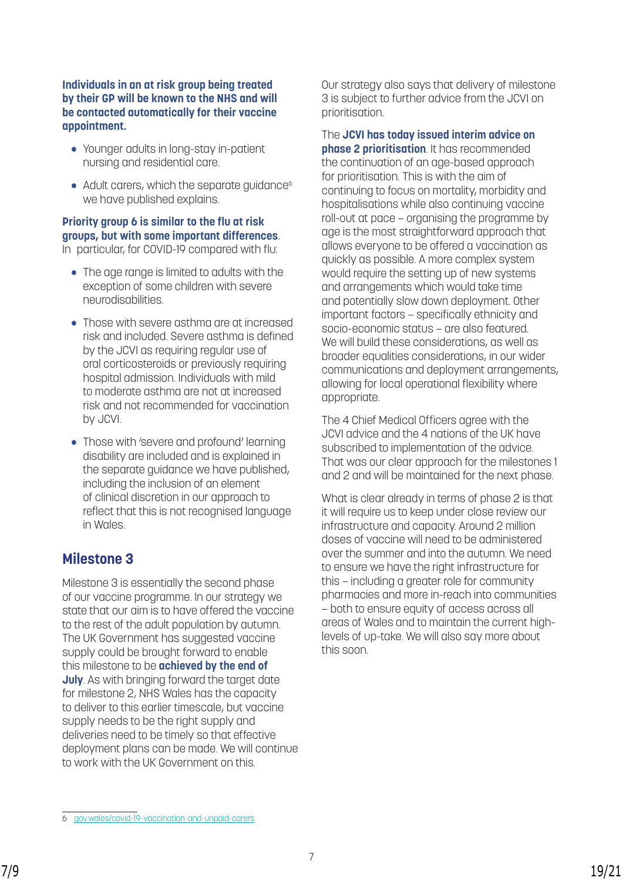### **Individuals in an at risk group being treated by their GP will be known to the NHS and will be contacted automatically for their vaccine appointment.**

- Younger adults in long-stay in-patient nursing and residential care.
- Adult carers, which the separate guidance<sup>6</sup> we have published explains.

### **Priority group 6 is similar to the flu at risk groups, but with some important differences**. In particular, for COVID-19 compared with flu:

- The age range is limited to adults with the exception of some children with severe neurodisabilities.
- Those with severe asthma are at increased risk and included. Severe asthma is defined by the JCVI as requiring regular use of oral corticosteroids or previously requiring hospital admission. Individuals with mild to moderate asthma are not at increased risk and not recommended for vaccination by JCVI.
- Those with 'severe and profound' learning disability are included and is explained in the separate guidance we have published, including the inclusion of an element of clinical discretion in our approach to reflect that this is not recognised language in Wales.

## **Milestone 3**

Milestone 3 is essentially the second phase of our vaccine programme. In our strategy we state that our aim is to have offered the vaccine to the rest of the adult population by autumn. The UK Government has suggested vaccine supply could be brought forward to enable this milestone to be **achieved by the end of July**. As with bringing forward the target date for milestone 2, NHS Wales has the capacity to deliver to this earlier timescale, but vaccine supply needs to be the right supply and deliveries need to be timely so that effective deployment plans can be made. We will continue to work with the UK Government on this.

Our strategy also says that delivery of milestone 3 is subject to further advice from the JCVI on prioritisation.

The **JCVI has today issued interim advice on phase 2 prioritisation**. It has recommended the continuation of an age-based approach for prioritisation. This is with the aim of continuing to focus on mortality, morbidity and hospitalisations while also continuing vaccine roll-out at pace – organising the programme by age is the most straightforward approach that allows everyone to be offered a vaccination as quickly as possible. A more complex system would require the setting up of new systems and arrangements which would take time and potentially slow down deployment. Other important factors – specifically ethnicity and socio-economic status – are also featured. We will build these considerations, as well as broader equalities considerations, in our wider communications and deployment arrangements, allowing for local operational flexibility where appropriate.

The 4 Chief Medical Officers agree with the JCVI advice and the 4 nations of the UK have subscribed to implementation of the advice. That was our clear approach for the milestones 1 and 2 and will be maintained for the next phase.

What is clear already in terms of phase 2 is that it will require us to keep under close review our infrastructure and capacity. Around 2 million doses of vaccine will need to be administered over the summer and into the autumn. We need to ensure we have the right infrastructure for this – including a greater role for community pharmacies and more in-reach into communities – both to ensure equity of access across all areas of Wales and to maintain the current highlevels of up-take. We will also say more about this soon.

<sup>6</sup> [gov.wales/covid-19-vaccination-and-unpaid-carers](http://gov.wales/covid-19-vaccination-and-unpaid-carers)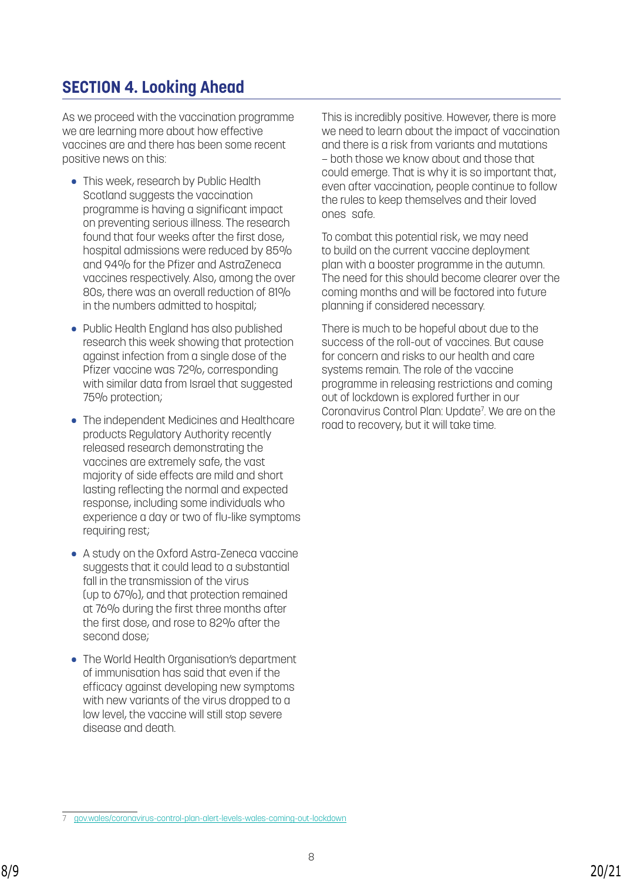## **SECTION 4. Looking Ahead**

As we proceed with the vaccination programme we are learning more about how effective vaccines are and there has been some recent positive news on this:

- This week, research by Public Health Scotland suggests the vaccination programme is having a significant impact on preventing serious illness. The research found that four weeks after the first dose, hospital admissions were reduced by 85% and 94% for the Pfizer and AstraZeneca vaccines respectively. Also, among the over 80s, there was an overall reduction of 81% in the numbers admitted to hospital;
- Public Health England has also published research this week showing that protection against infection from a single dose of the Pfizer vaccine was 72%, corresponding with similar data from Israel that suggested 75% protection;
- The independent Medicines and Healthcare products Regulatory Authority recently released research demonstrating the vaccines are extremely safe, the vast majority of side effects are mild and short lasting reflecting the normal and expected response, including some individuals who experience a day or two of flu-like symptoms requiring rest;
- A study on the Oxford Astra-Zeneca vaccine suggests that it could lead to a substantial fall in the transmission of the virus (up to 67%), and that protection remained at 76% during the first three months after the first dose, and rose to 82% after the second dose;
- The World Health Organisation's department of immunisation has said that even if the efficacy against developing new symptoms with new variants of the virus dropped to a low level, the vaccine will still stop severe disease and death.

This is incredibly positive. However, there is more we need to learn about the impact of vaccination and there is a risk from variants and mutations – both those we know about and those that could emerge. That is why it is so important that, even after vaccination, people continue to follow the rules to keep themselves and their loved ones safe.

To combat this potential risk, we may need to build on the current vaccine deployment plan with a booster programme in the autumn. The need for this should become clearer over the coming months and will be factored into future planning if considered necessary.

There is much to be hopeful about due to the success of the roll-out of vaccines. But cause for concern and risks to our health and care systems remain. The role of the vaccine programme in releasing restrictions and coming out of lockdown is explored further in our [Coronavirus Control Plan: Update7](https://gov.wales/coronavirus-control-plan-alert-levels-wales-coming-out-lockdown) . We are on the road to recovery, but it will take time.

<sup>7</sup> [gov.wales/coronavirus-control-plan-alert-levels-wales-coming-out-lockdown](http://gov.wales/coronavirus-control-plan-alert-levels-wales-coming-out-lockdown)